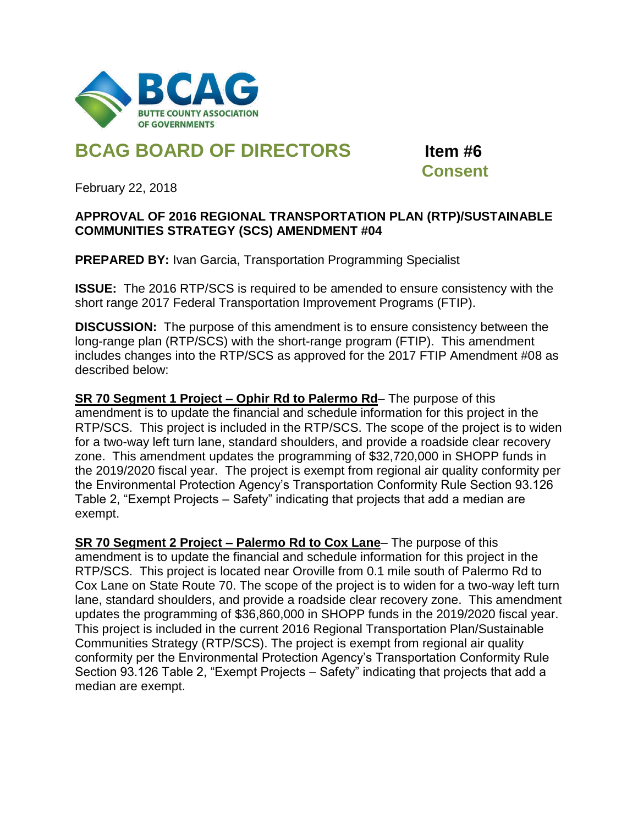

## **BCAG BOARD OF DIRECTORS Item #6**

 **Consent**

February 22, 2018

## **APPROVAL OF 2016 REGIONAL TRANSPORTATION PLAN (RTP)/SUSTAINABLE COMMUNITIES STRATEGY (SCS) AMENDMENT #04**

**PREPARED BY:** Ivan Garcia, Transportation Programming Specialist

**ISSUE:** The 2016 RTP/SCS is required to be amended to ensure consistency with the short range 2017 Federal Transportation Improvement Programs (FTIP).

**DISCUSSION:** The purpose of this amendment is to ensure consistency between the long-range plan (RTP/SCS) with the short-range program (FTIP). This amendment includes changes into the RTP/SCS as approved for the 2017 FTIP Amendment #08 as described below:

**SR 70 Segment 1 Project – Ophir Rd to Palermo Rd**– The purpose of this amendment is to update the financial and schedule information for this project in the RTP/SCS. This project is included in the RTP/SCS. The scope of the project is to widen for a two-way left turn lane, standard shoulders, and provide a roadside clear recovery zone. This amendment updates the programming of \$32,720,000 in SHOPP funds in the 2019/2020 fiscal year. The project is exempt from regional air quality conformity per the Environmental Protection Agency's Transportation Conformity Rule Section 93.126 Table 2, "Exempt Projects – Safety" indicating that projects that add a median are exempt.

**SR 70 Segment 2 Project – Palermo Rd to Cox Lane**– The purpose of this amendment is to update the financial and schedule information for this project in the RTP/SCS. This project is located near Oroville from 0.1 mile south of Palermo Rd to Cox Lane on State Route 70. The scope of the project is to widen for a two-way left turn lane, standard shoulders, and provide a roadside clear recovery zone. This amendment updates the programming of \$36,860,000 in SHOPP funds in the 2019/2020 fiscal year. This project is included in the current 2016 Regional Transportation Plan/Sustainable Communities Strategy (RTP/SCS). The project is exempt from regional air quality conformity per the Environmental Protection Agency's Transportation Conformity Rule Section 93.126 Table 2, "Exempt Projects – Safety" indicating that projects that add a median are exempt.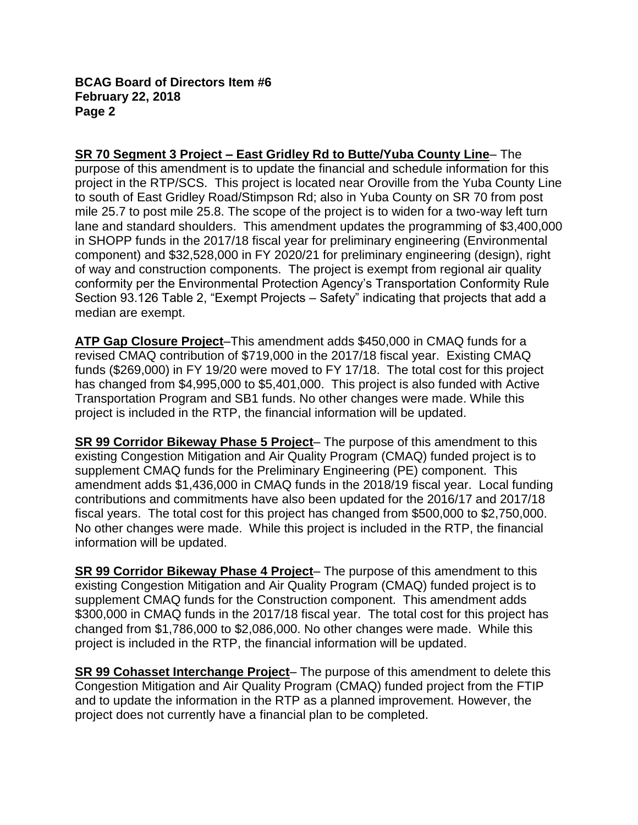## **BCAG Board of Directors Item #6 February 22, 2018 Page 2**

**SR 70 Segment 3 Project – East Gridley Rd to Butte/Yuba County Line**– The purpose of this amendment is to update the financial and schedule information for this project in the RTP/SCS. This project is located near Oroville from the Yuba County Line to south of East Gridley Road/Stimpson Rd; also in Yuba County on SR 70 from post mile 25.7 to post mile 25.8. The scope of the project is to widen for a two-way left turn lane and standard shoulders. This amendment updates the programming of \$3,400,000 in SHOPP funds in the 2017/18 fiscal year for preliminary engineering (Environmental component) and \$32,528,000 in FY 2020/21 for preliminary engineering (design), right of way and construction components. The project is exempt from regional air quality conformity per the Environmental Protection Agency's Transportation Conformity Rule Section 93.126 Table 2, "Exempt Projects – Safety" indicating that projects that add a median are exempt.

**ATP Gap Closure Project**–This amendment adds \$450,000 in CMAQ funds for a revised CMAQ contribution of \$719,000 in the 2017/18 fiscal year. Existing CMAQ funds (\$269,000) in FY 19/20 were moved to FY 17/18. The total cost for this project has changed from \$4,995,000 to \$5,401,000. This project is also funded with Active Transportation Program and SB1 funds. No other changes were made. While this project is included in the RTP, the financial information will be updated.

**SR 99 Corridor Bikeway Phase 5 Project**– The purpose of this amendment to this existing Congestion Mitigation and Air Quality Program (CMAQ) funded project is to supplement CMAQ funds for the Preliminary Engineering (PE) component. This amendment adds \$1,436,000 in CMAQ funds in the 2018/19 fiscal year. Local funding contributions and commitments have also been updated for the 2016/17 and 2017/18 fiscal years. The total cost for this project has changed from \$500,000 to \$2,750,000. No other changes were made. While this project is included in the RTP, the financial information will be updated.

**SR 99 Corridor Bikeway Phase 4 Project**– The purpose of this amendment to this existing Congestion Mitigation and Air Quality Program (CMAQ) funded project is to supplement CMAQ funds for the Construction component. This amendment adds \$300,000 in CMAQ funds in the 2017/18 fiscal year. The total cost for this project has changed from \$1,786,000 to \$2,086,000. No other changes were made. While this project is included in the RTP, the financial information will be updated.

**SR 99 Cohasset Interchange Project**– The purpose of this amendment to delete this Congestion Mitigation and Air Quality Program (CMAQ) funded project from the FTIP and to update the information in the RTP as a planned improvement. However, the project does not currently have a financial plan to be completed.